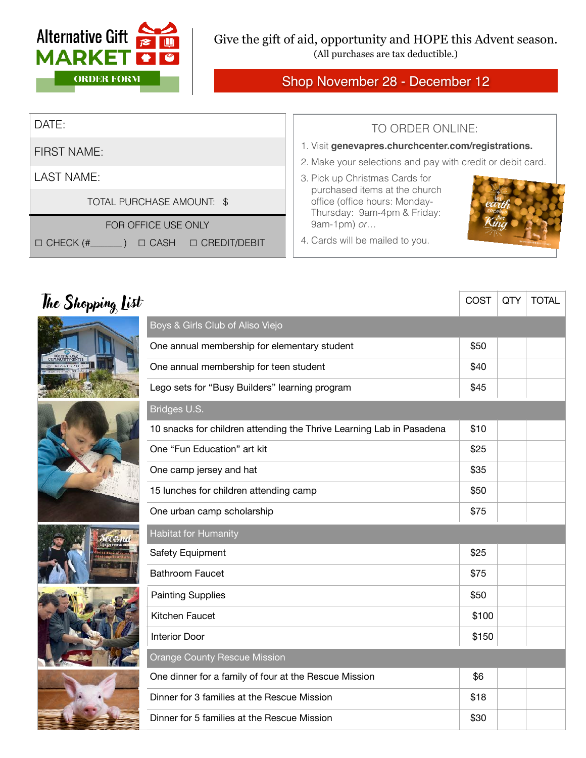

**SALE AND STEED AND STREET** 

(All purchases are tax deductible.)

## Shop November 28 - December 12

| DATE:                                                    | TO ORDER ONLINE:                                                                                                  |  |  |
|----------------------------------------------------------|-------------------------------------------------------------------------------------------------------------------|--|--|
| FIRST NAME:                                              | 1. Visit genevapres.churchcenter.com/registrations.<br>2. Make your selections and pay with credit or debit card. |  |  |
| LAST NAME:                                               | 3. Pick up Christmas Cards for                                                                                    |  |  |
| TOTAL PURCHASE AMOUNT: \$                                | purchased items at the church<br>office (office hours: Monday-<br>Thursday: 9am-4pm & Friday:                     |  |  |
| FOR OFFICE USE ONLY                                      | 9am-1pm) or                                                                                                       |  |  |
| □ CREDIT/DEBIT<br>$\mid$ $\Box$ CHECK (#_<br>$\Box$ CASH | 4. Cards will be mailed to you.                                                                                   |  |  |

| The Shopping List |                                                                      | COST  | QTY | <b>TOTAL</b> |  |  |
|-------------------|----------------------------------------------------------------------|-------|-----|--------------|--|--|
|                   | Boys & Girls Club of Aliso Viejo                                     |       |     |              |  |  |
|                   | One annual membership for elementary student                         | \$50  |     |              |  |  |
|                   | One annual membership for teen student                               | \$40  |     |              |  |  |
|                   | Lego sets for "Busy Builders" learning program                       | \$45  |     |              |  |  |
|                   | Bridges U.S.                                                         |       |     |              |  |  |
|                   | 10 snacks for children attending the Thrive Learning Lab in Pasadena | \$10  |     |              |  |  |
|                   | One "Fun Education" art kit                                          | \$25  |     |              |  |  |
|                   | One camp jersey and hat                                              | \$35  |     |              |  |  |
|                   | 15 lunches for children attending camp                               | \$50  |     |              |  |  |
|                   | One urban camp scholarship                                           | \$75  |     |              |  |  |
|                   | <b>Habitat for Humanity</b>                                          |       |     |              |  |  |
|                   | Safety Equipment                                                     | \$25  |     |              |  |  |
|                   | <b>Bathroom Faucet</b>                                               | \$75  |     |              |  |  |
|                   | <b>Painting Supplies</b>                                             | \$50  |     |              |  |  |
|                   | Kitchen Faucet                                                       | \$100 |     |              |  |  |
|                   | Interior Door                                                        | \$150 |     |              |  |  |
|                   | <b>Orange County Rescue Mission</b>                                  |       |     |              |  |  |
|                   | One dinner for a family of four at the Rescue Mission                | \$6   |     |              |  |  |
|                   | Dinner for 3 families at the Rescue Mission                          | \$18  |     |              |  |  |
|                   | Dinner for 5 families at the Rescue Mission                          | \$30  |     |              |  |  |